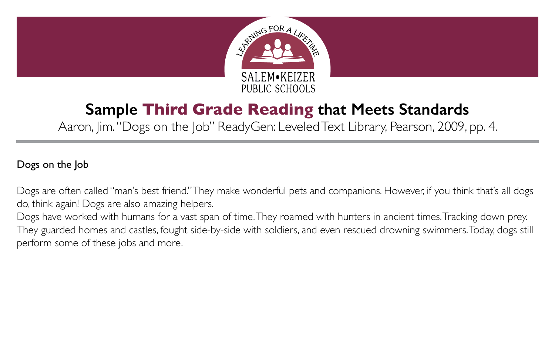

## **Sample Third Grade Reading that Meets Standards**

Aaron, Jim. "Dogs on the Job" ReadyGen: Leveled Text Library, Pearson, 2009, pp. 4.

## Dogs on the Job

Dogs are often called "man's best friend." They make wonderful pets and companions. However, if you think that's all dogs do, think again! Dogs are also amazing helpers.

Dogs have worked with humans for a vast span of time. They roamed with hunters in ancient times. Tracking down prey. They guarded homes and castles, fought side-by-side with soldiers, and even rescued drowning swimmers. Today, dogs still perform some of these jobs and more.